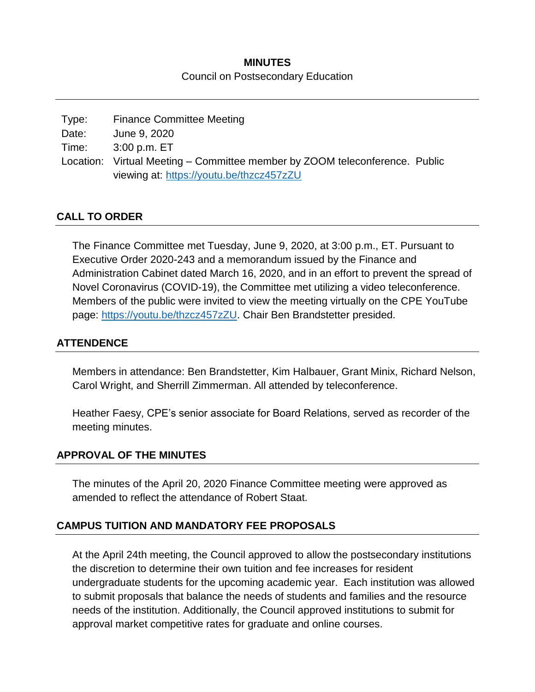# **MINUTES** Council on Postsecondary Education

| Type: | <b>Finance Committee Meeting</b>                                            |  |
|-------|-----------------------------------------------------------------------------|--|
| Date: | June 9, 2020                                                                |  |
| Time: | 3:00 p.m. ET                                                                |  |
|       | Location: Virtual Meeting – Committee member by ZOOM teleconference. Public |  |
|       | viewing at: https://youtu.be/thzcz457zZU                                    |  |

# **CALL TO ORDER**

The Finance Committee met Tuesday, June 9, 2020, at 3:00 p.m., ET. Pursuant to Executive Order 2020-243 and a memorandum issued by the Finance and Administration Cabinet dated March 16, 2020, and in an effort to prevent the spread of Novel Coronavirus (COVID-19), the Committee met utilizing a video teleconference. Members of the public were invited to view the meeting virtually on the CPE YouTube page: [https://youtu.be/thzcz457zZU.](https://youtu.be/thzcz457zZU) Chair Ben Brandstetter presided.

#### **ATTENDENCE**

Members in attendance: Ben Brandstetter, Kim Halbauer, Grant Minix, Richard Nelson, Carol Wright, and Sherrill Zimmerman. All attended by teleconference.

Heather Faesy, CPE's senior associate for Board Relations, served as recorder of the meeting minutes.

#### **APPROVAL OF THE MINUTES**

The minutes of the April 20, 2020 Finance Committee meeting were approved as amended to reflect the attendance of Robert Staat.

# **CAMPUS TUITION AND MANDATORY FEE PROPOSALS**

At the April 24th meeting, the Council approved to allow the postsecondary institutions the discretion to determine their own tuition and fee increases for resident undergraduate students for the upcoming academic year. Each institution was allowed to submit proposals that balance the needs of students and families and the resource needs of the institution. Additionally, the Council approved institutions to submit for approval market competitive rates for graduate and online courses.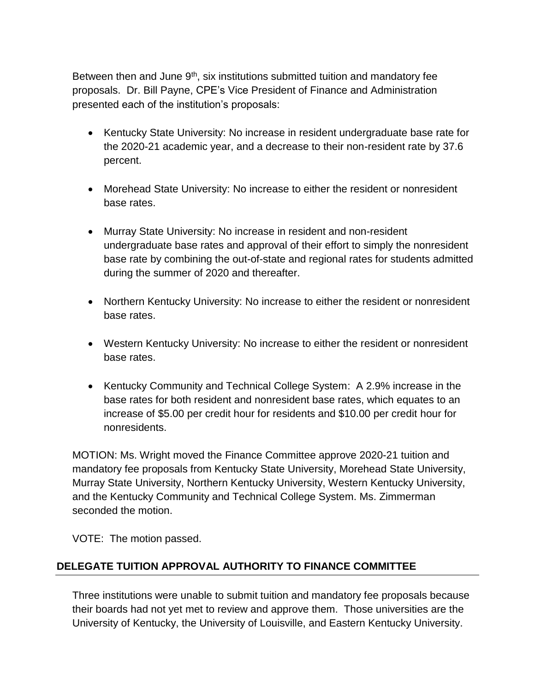Between then and June  $9<sup>th</sup>$ , six institutions submitted tuition and mandatory fee proposals. Dr. Bill Payne, CPE's Vice President of Finance and Administration presented each of the institution's proposals:

- Kentucky State University: No increase in resident undergraduate base rate for the 2020-21 academic year, and a decrease to their non-resident rate by 37.6 percent.
- Morehead State University: No increase to either the resident or nonresident base rates.
- Murray State University: No increase in resident and non-resident undergraduate base rates and approval of their effort to simply the nonresident base rate by combining the out-of-state and regional rates for students admitted during the summer of 2020 and thereafter.
- Northern Kentucky University: No increase to either the resident or nonresident base rates.
- Western Kentucky University: No increase to either the resident or nonresident base rates.
- Kentucky Community and Technical College System: A 2.9% increase in the base rates for both resident and nonresident base rates, which equates to an increase of \$5.00 per credit hour for residents and \$10.00 per credit hour for nonresidents.

MOTION: Ms. Wright moved the Finance Committee approve 2020-21 tuition and mandatory fee proposals from Kentucky State University, Morehead State University, Murray State University, Northern Kentucky University, Western Kentucky University, and the Kentucky Community and Technical College System. Ms. Zimmerman seconded the motion.

VOTE: The motion passed.

# **DELEGATE TUITION APPROVAL AUTHORITY TO FINANCE COMMITTEE**

Three institutions were unable to submit tuition and mandatory fee proposals because their boards had not yet met to review and approve them. Those universities are the University of Kentucky, the University of Louisville, and Eastern Kentucky University.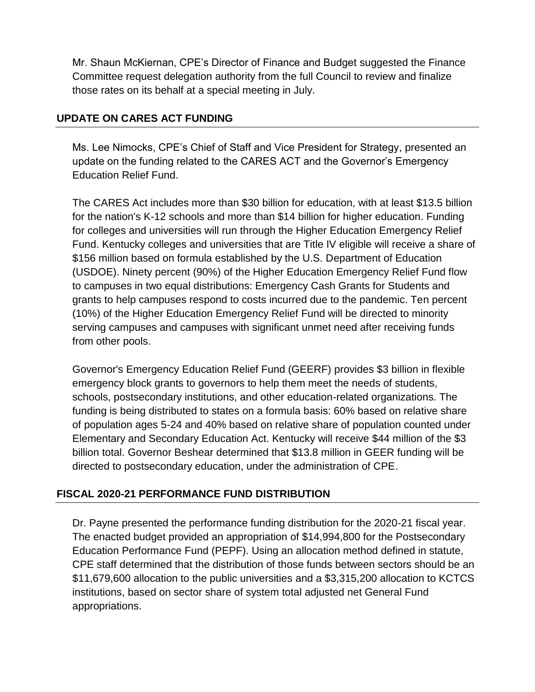Mr. Shaun McKiernan, CPE's Director of Finance and Budget suggested the Finance Committee request delegation authority from the full Council to review and finalize those rates on its behalf at a special meeting in July.

# **UPDATE ON CARES ACT FUNDING**

Ms. Lee Nimocks, CPE's Chief of Staff and Vice President for Strategy, presented an update on the funding related to the CARES ACT and the Governor's Emergency Education Relief Fund.

The CARES Act includes more than \$30 billion for education, with at least \$13.5 billion for the nation's K-12 schools and more than \$14 billion for higher education. Funding for colleges and universities will run through the Higher Education Emergency Relief Fund. Kentucky colleges and universities that are Title IV eligible will receive a share of \$156 million based on formula established by the U.S. Department of Education (USDOE). Ninety percent (90%) of the Higher Education Emergency Relief Fund flow to campuses in two equal distributions: Emergency Cash Grants for Students and grants to help campuses respond to costs incurred due to the pandemic. Ten percent (10%) of the Higher Education Emergency Relief Fund will be directed to minority serving campuses and campuses with significant unmet need after receiving funds from other pools.

Governor's Emergency Education Relief Fund (GEERF) provides \$3 billion in flexible emergency block grants to governors to help them meet the needs of students, schools, postsecondary institutions, and other education-related organizations. The funding is being distributed to states on a formula basis: 60% based on relative share of population ages 5-24 and 40% based on relative share of population counted under Elementary and Secondary Education Act. Kentucky will receive \$44 million of the \$3 billion total. Governor Beshear determined that \$13.8 million in GEER funding will be directed to postsecondary education, under the administration of CPE.

# **FISCAL 2020-21 PERFORMANCE FUND DISTRIBUTION**

Dr. Payne presented the performance funding distribution for the 2020-21 fiscal year. The enacted budget provided an appropriation of \$14,994,800 for the Postsecondary Education Performance Fund (PEPF). Using an allocation method defined in statute, CPE staff determined that the distribution of those funds between sectors should be an \$11,679,600 allocation to the public universities and a \$3,315,200 allocation to KCTCS institutions, based on sector share of system total adjusted net General Fund appropriations.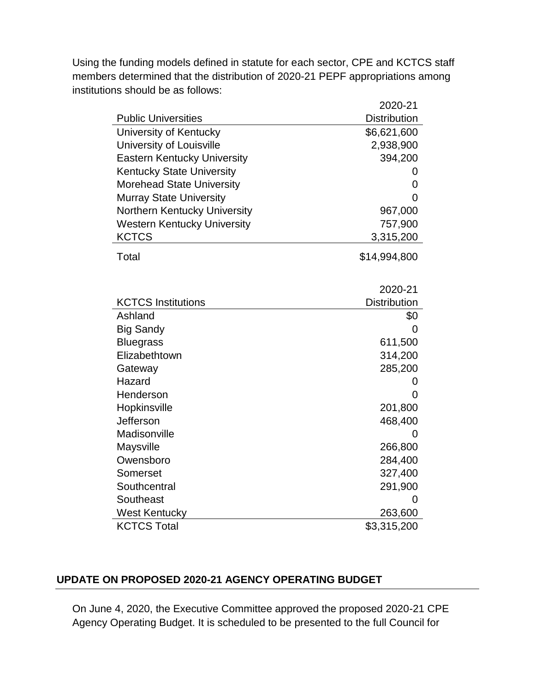Using the funding models defined in statute for each sector, CPE and KCTCS staff members determined that the distribution of 2020-21 PEPF appropriations among institutions should be as follows:

|                                    | 2020-21             |
|------------------------------------|---------------------|
| <b>Public Universities</b>         | <b>Distribution</b> |
| University of Kentucky             | \$6,621,600         |
| University of Louisville           | 2,938,900           |
| <b>Eastern Kentucky University</b> | 394,200             |
| <b>Kentucky State University</b>   | O                   |
| <b>Morehead State University</b>   | 0                   |
| <b>Murray State University</b>     | 0                   |
| Northern Kentucky University       | 967,000             |
| <b>Western Kentucky University</b> | 757,900             |
| <b>KCTCS</b>                       | 3,315,200           |
| Total                              | \$14,994,800        |
|                                    |                     |
|                                    | 2020-21             |
| <b>KCTCS Institutions</b>          | <b>Distribution</b> |
| Ashland                            | \$0                 |
| <b>Big Sandy</b>                   | 0                   |
| <b>Bluegrass</b>                   | 611,500             |
| Elizabethtown                      | 314,200             |
| Gateway                            | 285,200             |
| Hazard                             | 0                   |
| Henderson                          | 0                   |
| Hopkinsville                       | 201,800             |
| Jefferson                          | 468,400             |
| Madisonville                       | 0                   |
| Maysville                          | 266,800             |
| Owensboro                          | 284,400             |
| Somerset                           | 327,400             |
| Southcentral                       | 291,900             |
| Southeast                          | 0                   |
| <b>West Kentucky</b>               | 263,600             |
| <b>KCTCS Total</b>                 | \$3,315,200         |

# **UPDATE ON PROPOSED 2020-21 AGENCY OPERATING BUDGET**

On June 4, 2020, the Executive Committee approved the proposed 2020-21 CPE Agency Operating Budget. It is scheduled to be presented to the full Council for